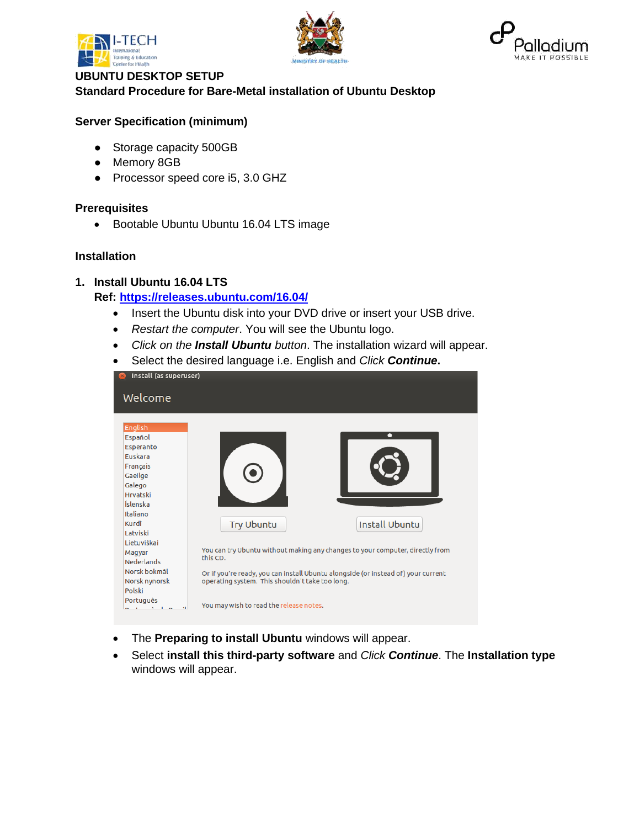





# **UBUNTU DESKTOP SETUP Standard Procedure for Bare-Metal installation of Ubuntu Desktop**

# **Server Specification (minimum)**

- Storage capacity 500GB
- Memory 8GB
- Processor speed core i5, 3.0 GHZ

#### **Prerequisites**

• Bootable Ubuntu Ubuntu 16.04 LTS image

### **Installation**

### **1. Install Ubuntu 16.04 LTS**

# **Ref:<https://releases.ubuntu.com/16.04/>**

- Insert the Ubuntu disk into your DVD drive or insert your USB drive.
- *Restart the computer*. You will see the Ubuntu logo.
- *Click on the Install Ubuntu button*. The installation wizard will appear.
- Select the desired language i.e. English and *Click Continue***.**

| Install (as superuser)<br>$\boldsymbol{\mathsf{x}}$                                                                                                                                                                                               |                                                                                  |                                                                                                                                                                                             |  |  |
|---------------------------------------------------------------------------------------------------------------------------------------------------------------------------------------------------------------------------------------------------|----------------------------------------------------------------------------------|---------------------------------------------------------------------------------------------------------------------------------------------------------------------------------------------|--|--|
| Welcome                                                                                                                                                                                                                                           |                                                                                  |                                                                                                                                                                                             |  |  |
| English<br>Español<br>Esperanto<br>Euskara<br>Français<br>Gaeilge<br>Galego<br><b>Hrvatski</b><br>Íslenska<br>Italiano<br>Kurdî<br>Latviski<br>Lietuviškai<br>Magyar<br><b>Nederlands</b><br>Norsk bokmål<br>Norsk nynorsk<br>Polski<br>Português | <b>Try Ubuntu</b><br>this CD.<br>operating system. This shouldn't take too long. | <b>Install Ubuntu</b><br>You can try Ubuntu without making any changes to your computer, directly from<br>Or if you're ready, you can install Ubuntu alongside (or instead of) your current |  |  |
|                                                                                                                                                                                                                                                   | You may wish to read the release notes.                                          |                                                                                                                                                                                             |  |  |

- The **Preparing to install Ubuntu** windows will appear.
- Select **install this third-party software** and *Click Continue*. The **Installation type** windows will appear.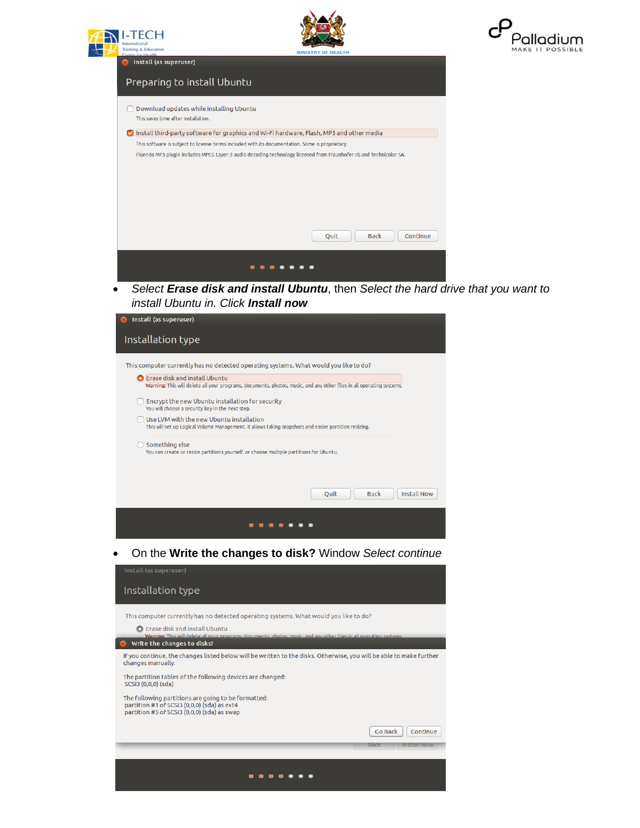







• *Select Erase disk and install Ubuntu*, then *Select the hard drive that you want to install Ubuntu in. Click Install now*

| Install (as superuser)                                                                                                                                                                                |  |  |  |  |
|-------------------------------------------------------------------------------------------------------------------------------------------------------------------------------------------------------|--|--|--|--|
| Installation type                                                                                                                                                                                     |  |  |  |  |
| This computer currently has no detected operating systems. What would you like to do?<br>Erase disk and install Ubuntu                                                                                |  |  |  |  |
| Warning: This will delete all your programs, documents, photos, music, and any other files in all operating systems.<br>Encrypt the new Ubuntu installation for security                              |  |  |  |  |
| You will choose a security key in the next step.<br>Use LVM with the new Ubuntu installation<br>This will set up Logical Volume Management. It allows taking snapshots and easier partition resizing. |  |  |  |  |
| Something else<br>You can create or resize partitions yourself, or choose multiple partitions for Ubuntu.                                                                                             |  |  |  |  |
| <b>Install Now</b><br><b>Ouit</b><br><b>Back</b>                                                                                                                                                      |  |  |  |  |
|                                                                                                                                                                                                       |  |  |  |  |

• On the **Write the changes to disk?** Window *Select continue*

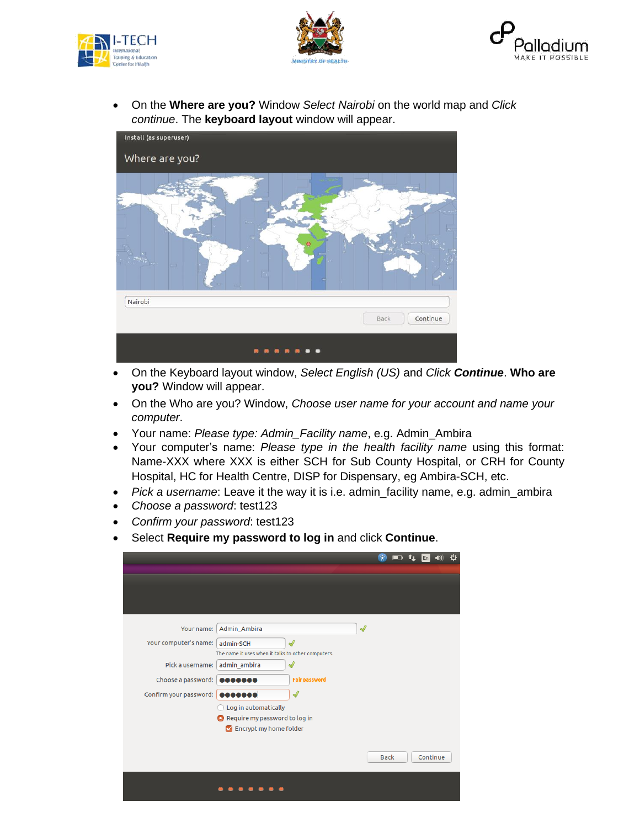





• On the **Where are you?** Window *Select Nairobi* on the world map and *Click continue*. The **keyboard layout** window will appear.



- On the Keyboard layout window, *Select English (US)* and *Click Continue*. **Who are you?** Window will appear.
- On the Who are you? Window, *Choose user name for your account and name your computer*.
- Your name: *Please type: Admin\_Facility name*, e.g. Admin\_Ambira
- Your computer's name: *Please type in the health facility name* using this format: Name-XXX where XXX is either SCH for Sub County Hospital, or CRH for County Hospital, HC for Health Centre, DISP for Dispensary, eg Ambira-SCH, etc.
- *Pick a username*: Leave it the way it is i.e. admin facility name, e.g. admin ambira
- *Choose a password*: test123
- *Confirm your password*: test123
- Select **Require my password to log in** and click **Continue**.

|                                |                                                                                  | $\mathbf{t}_1$<br>En<br>(1) |
|--------------------------------|----------------------------------------------------------------------------------|-----------------------------|
|                                |                                                                                  |                             |
|                                |                                                                                  |                             |
|                                |                                                                                  |                             |
| Your name:                     | Admin_Ambira                                                                     | $\sqrt{2}$                  |
| Your computer's name:          | $\mathscr{Q}$<br>admin-SCH                                                       |                             |
| Pick a username:               | The name it uses when it talks to other computers.<br>$\sqrt{2}$<br>admin_ambira |                             |
| Choose a password:             | <b>Fair password</b><br>                                                         |                             |
| Confirm your password: 0000000 | Ï                                                                                |                             |
|                                | Log in automatically                                                             |                             |
|                                | Require my password to log in<br>Encrypt my home folder                          |                             |
|                                |                                                                                  |                             |
|                                |                                                                                  | Continue<br><b>Back</b>     |
|                                |                                                                                  |                             |
|                                |                                                                                  |                             |